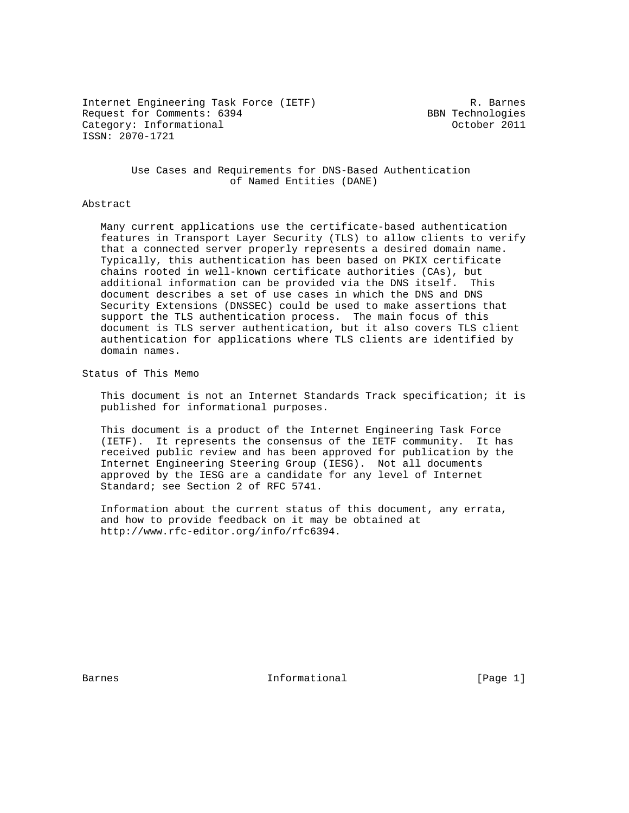Internet Engineering Task Force (IETF) R. Barnes Request for Comments: 6394 BBN Technologies Category: Informational and Category: Category: Category: Corober 2011 ISSN: 2070-1721

 Use Cases and Requirements for DNS-Based Authentication of Named Entities (DANE)

#### Abstract

 Many current applications use the certificate-based authentication features in Transport Layer Security (TLS) to allow clients to verify that a connected server properly represents a desired domain name. Typically, this authentication has been based on PKIX certificate chains rooted in well-known certificate authorities (CAs), but additional information can be provided via the DNS itself. This document describes a set of use cases in which the DNS and DNS Security Extensions (DNSSEC) could be used to make assertions that support the TLS authentication process. The main focus of this document is TLS server authentication, but it also covers TLS client authentication for applications where TLS clients are identified by domain names.

Status of This Memo

 This document is not an Internet Standards Track specification; it is published for informational purposes.

 This document is a product of the Internet Engineering Task Force (IETF). It represents the consensus of the IETF community. It has received public review and has been approved for publication by the Internet Engineering Steering Group (IESG). Not all documents approved by the IESG are a candidate for any level of Internet Standard; see Section 2 of RFC 5741.

 Information about the current status of this document, any errata, and how to provide feedback on it may be obtained at http://www.rfc-editor.org/info/rfc6394.

Barnes **Informational Informational** [Page 1]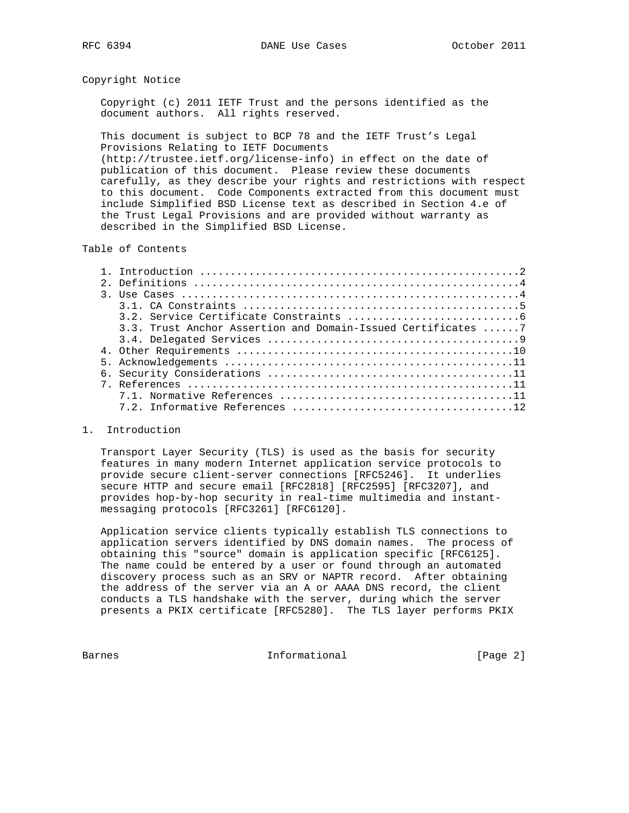### Copyright Notice

 Copyright (c) 2011 IETF Trust and the persons identified as the document authors. All rights reserved.

 This document is subject to BCP 78 and the IETF Trust's Legal Provisions Relating to IETF Documents

 (http://trustee.ietf.org/license-info) in effect on the date of publication of this document. Please review these documents carefully, as they describe your rights and restrictions with respect to this document. Code Components extracted from this document must include Simplified BSD License text as described in Section 4.e of the Trust Legal Provisions and are provided without warranty as described in the Simplified BSD License.

# Table of Contents

| 3.3. Trust Anchor Assertion and Domain-Issued Certificates 7 |
|--------------------------------------------------------------|
|                                                              |
|                                                              |
|                                                              |
|                                                              |
|                                                              |
|                                                              |
|                                                              |

#### 1. Introduction

 Transport Layer Security (TLS) is used as the basis for security features in many modern Internet application service protocols to provide secure client-server connections [RFC5246]. It underlies secure HTTP and secure email [RFC2818] [RFC2595] [RFC3207], and provides hop-by-hop security in real-time multimedia and instant messaging protocols [RFC3261] [RFC6120].

 Application service clients typically establish TLS connections to application servers identified by DNS domain names. The process of obtaining this "source" domain is application specific [RFC6125]. The name could be entered by a user or found through an automated discovery process such as an SRV or NAPTR record. After obtaining the address of the server via an A or AAAA DNS record, the client conducts a TLS handshake with the server, during which the server presents a PKIX certificate [RFC5280]. The TLS layer performs PKIX

Barnes **Informational Informational** [Page 2]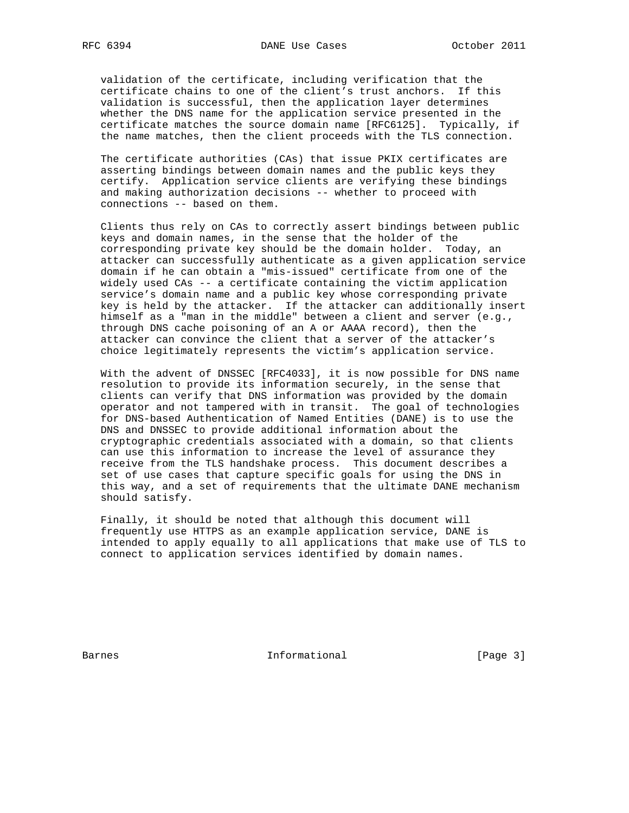validation of the certificate, including verification that the certificate chains to one of the client's trust anchors. If this validation is successful, then the application layer determines whether the DNS name for the application service presented in the certificate matches the source domain name [RFC6125]. Typically, if the name matches, then the client proceeds with the TLS connection.

 The certificate authorities (CAs) that issue PKIX certificates are asserting bindings between domain names and the public keys they certify. Application service clients are verifying these bindings and making authorization decisions -- whether to proceed with connections -- based on them.

 Clients thus rely on CAs to correctly assert bindings between public keys and domain names, in the sense that the holder of the corresponding private key should be the domain holder. Today, an attacker can successfully authenticate as a given application service domain if he can obtain a "mis-issued" certificate from one of the widely used CAs -- a certificate containing the victim application service's domain name and a public key whose corresponding private key is held by the attacker. If the attacker can additionally insert himself as a "man in the middle" between a client and server (e.g., through DNS cache poisoning of an A or AAAA record), then the attacker can convince the client that a server of the attacker's choice legitimately represents the victim's application service.

 With the advent of DNSSEC [RFC4033], it is now possible for DNS name resolution to provide its information securely, in the sense that clients can verify that DNS information was provided by the domain operator and not tampered with in transit. The goal of technologies for DNS-based Authentication of Named Entities (DANE) is to use the DNS and DNSSEC to provide additional information about the cryptographic credentials associated with a domain, so that clients can use this information to increase the level of assurance they receive from the TLS handshake process. This document describes a set of use cases that capture specific goals for using the DNS in this way, and a set of requirements that the ultimate DANE mechanism should satisfy.

 Finally, it should be noted that although this document will frequently use HTTPS as an example application service, DANE is intended to apply equally to all applications that make use of TLS to connect to application services identified by domain names.

Barnes **Informational Informational** [Page 3]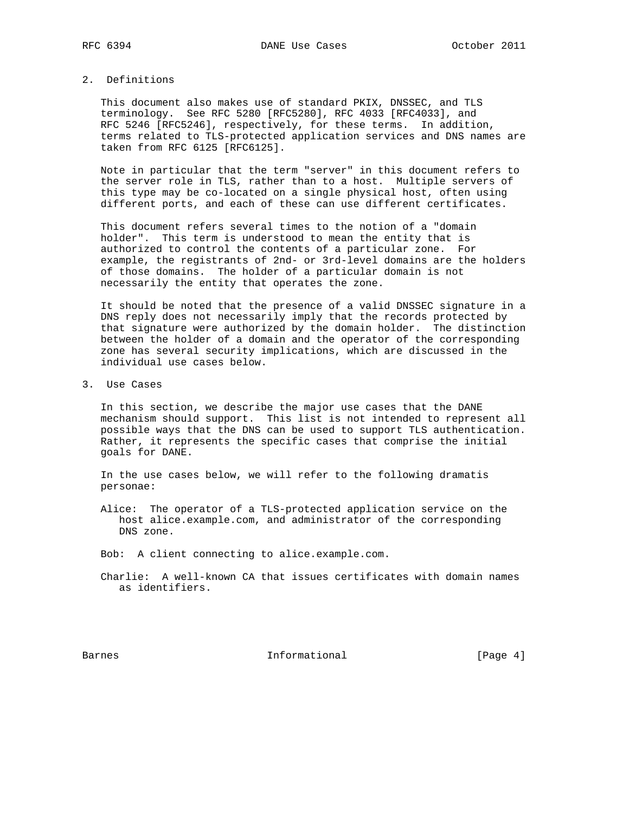### 2. Definitions

 This document also makes use of standard PKIX, DNSSEC, and TLS terminology. See RFC 5280 [RFC5280], RFC 4033 [RFC4033], and RFC 5246 [RFC5246], respectively, for these terms. In addition, terms related to TLS-protected application services and DNS names are taken from RFC 6125 [RFC6125].

 Note in particular that the term "server" in this document refers to the server role in TLS, rather than to a host. Multiple servers of this type may be co-located on a single physical host, often using different ports, and each of these can use different certificates.

 This document refers several times to the notion of a "domain holder". This term is understood to mean the entity that is authorized to control the contents of a particular zone. For example, the registrants of 2nd- or 3rd-level domains are the holders of those domains. The holder of a particular domain is not necessarily the entity that operates the zone.

 It should be noted that the presence of a valid DNSSEC signature in a DNS reply does not necessarily imply that the records protected by that signature were authorized by the domain holder. The distinction between the holder of a domain and the operator of the corresponding zone has several security implications, which are discussed in the individual use cases below.

3. Use Cases

 In this section, we describe the major use cases that the DANE mechanism should support. This list is not intended to represent all possible ways that the DNS can be used to support TLS authentication. Rather, it represents the specific cases that comprise the initial goals for DANE.

 In the use cases below, we will refer to the following dramatis personae:

 Alice: The operator of a TLS-protected application service on the host alice.example.com, and administrator of the corresponding DNS zone.

Bob: A client connecting to alice.example.com.

 Charlie: A well-known CA that issues certificates with domain names as identifiers.

Barnes **Informational Informational** [Page 4]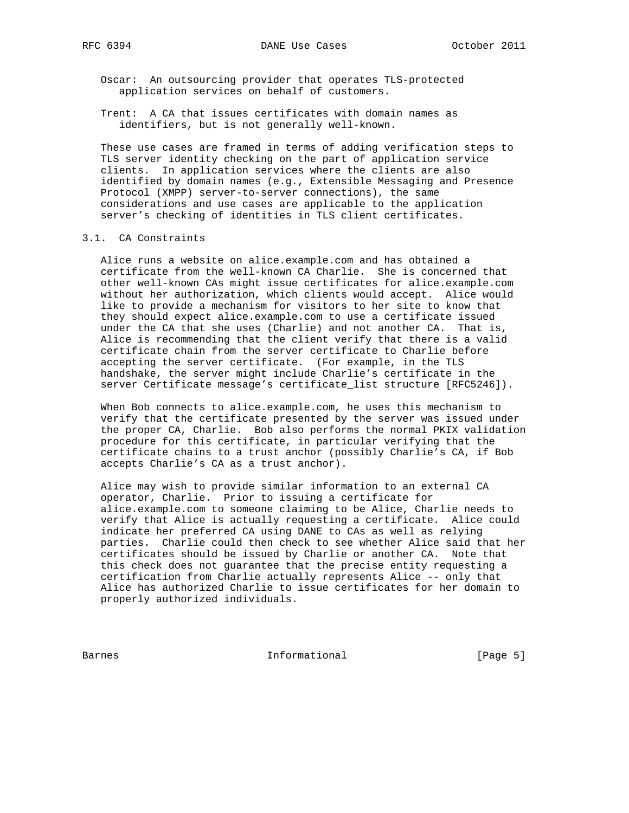Oscar: An outsourcing provider that operates TLS-protected application services on behalf of customers.

 Trent: A CA that issues certificates with domain names as identifiers, but is not generally well-known.

 These use cases are framed in terms of adding verification steps to TLS server identity checking on the part of application service clients. In application services where the clients are also identified by domain names (e.g., Extensible Messaging and Presence Protocol (XMPP) server-to-server connections), the same considerations and use cases are applicable to the application server's checking of identities in TLS client certificates.

### 3.1. CA Constraints

 Alice runs a website on alice.example.com and has obtained a certificate from the well-known CA Charlie. She is concerned that other well-known CAs might issue certificates for alice.example.com without her authorization, which clients would accept. Alice would like to provide a mechanism for visitors to her site to know that they should expect alice.example.com to use a certificate issued under the CA that she uses (Charlie) and not another CA. That is, Alice is recommending that the client verify that there is a valid certificate chain from the server certificate to Charlie before accepting the server certificate. (For example, in the TLS handshake, the server might include Charlie's certificate in the server Certificate message's certificate list structure [RFC5246]).

 When Bob connects to alice.example.com, he uses this mechanism to verify that the certificate presented by the server was issued under the proper CA, Charlie. Bob also performs the normal PKIX validation procedure for this certificate, in particular verifying that the certificate chains to a trust anchor (possibly Charlie's CA, if Bob accepts Charlie's CA as a trust anchor).

 Alice may wish to provide similar information to an external CA operator, Charlie. Prior to issuing a certificate for alice.example.com to someone claiming to be Alice, Charlie needs to verify that Alice is actually requesting a certificate. Alice could indicate her preferred CA using DANE to CAs as well as relying parties. Charlie could then check to see whether Alice said that her certificates should be issued by Charlie or another CA. Note that this check does not guarantee that the precise entity requesting a certification from Charlie actually represents Alice -- only that Alice has authorized Charlie to issue certificates for her domain to properly authorized individuals.

Barnes **Informational Informational** [Page 5]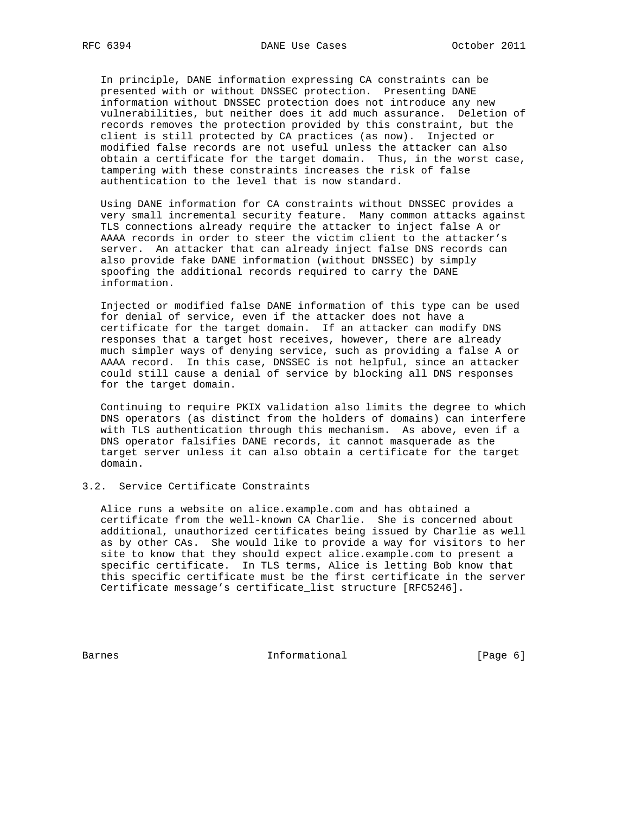In principle, DANE information expressing CA constraints can be presented with or without DNSSEC protection. Presenting DANE information without DNSSEC protection does not introduce any new vulnerabilities, but neither does it add much assurance. Deletion of records removes the protection provided by this constraint, but the client is still protected by CA practices (as now). Injected or modified false records are not useful unless the attacker can also obtain a certificate for the target domain. Thus, in the worst case, tampering with these constraints increases the risk of false authentication to the level that is now standard.

 Using DANE information for CA constraints without DNSSEC provides a very small incremental security feature. Many common attacks against TLS connections already require the attacker to inject false A or AAAA records in order to steer the victim client to the attacker's server. An attacker that can already inject false DNS records can also provide fake DANE information (without DNSSEC) by simply spoofing the additional records required to carry the DANE information.

 Injected or modified false DANE information of this type can be used for denial of service, even if the attacker does not have a certificate for the target domain. If an attacker can modify DNS responses that a target host receives, however, there are already much simpler ways of denying service, such as providing a false A or AAAA record. In this case, DNSSEC is not helpful, since an attacker could still cause a denial of service by blocking all DNS responses for the target domain.

 Continuing to require PKIX validation also limits the degree to which DNS operators (as distinct from the holders of domains) can interfere with TLS authentication through this mechanism. As above, even if a DNS operator falsifies DANE records, it cannot masquerade as the target server unless it can also obtain a certificate for the target domain.

# 3.2. Service Certificate Constraints

 Alice runs a website on alice.example.com and has obtained a certificate from the well-known CA Charlie. She is concerned about additional, unauthorized certificates being issued by Charlie as well as by other CAs. She would like to provide a way for visitors to her site to know that they should expect alice.example.com to present a specific certificate. In TLS terms, Alice is letting Bob know that this specific certificate must be the first certificate in the server Certificate message's certificate\_list structure [RFC5246].

Barnes **Informational Informational** [Page 6]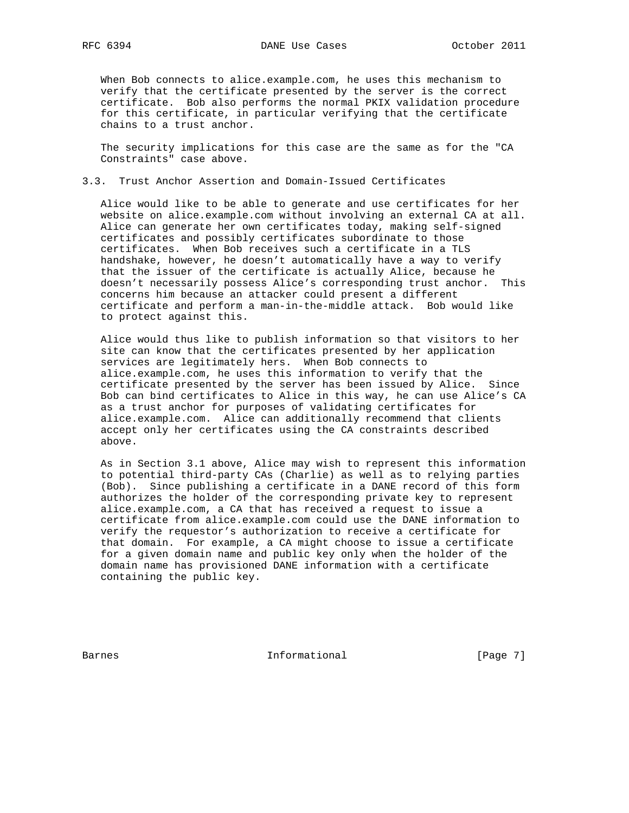When Bob connects to alice.example.com, he uses this mechanism to verify that the certificate presented by the server is the correct certificate. Bob also performs the normal PKIX validation procedure for this certificate, in particular verifying that the certificate chains to a trust anchor.

 The security implications for this case are the same as for the "CA Constraints" case above.

# 3.3. Trust Anchor Assertion and Domain-Issued Certificates

 Alice would like to be able to generate and use certificates for her website on alice.example.com without involving an external CA at all. Alice can generate her own certificates today, making self-signed certificates and possibly certificates subordinate to those certificates. When Bob receives such a certificate in a TLS handshake, however, he doesn't automatically have a way to verify that the issuer of the certificate is actually Alice, because he doesn't necessarily possess Alice's corresponding trust anchor. This concerns him because an attacker could present a different certificate and perform a man-in-the-middle attack. Bob would like to protect against this.

 Alice would thus like to publish information so that visitors to her site can know that the certificates presented by her application services are legitimately hers. When Bob connects to alice.example.com, he uses this information to verify that the certificate presented by the server has been issued by Alice. Since Bob can bind certificates to Alice in this way, he can use Alice's CA as a trust anchor for purposes of validating certificates for alice.example.com. Alice can additionally recommend that clients accept only her certificates using the CA constraints described above.

 As in Section 3.1 above, Alice may wish to represent this information to potential third-party CAs (Charlie) as well as to relying parties (Bob). Since publishing a certificate in a DANE record of this form authorizes the holder of the corresponding private key to represent alice.example.com, a CA that has received a request to issue a certificate from alice.example.com could use the DANE information to verify the requestor's authorization to receive a certificate for that domain. For example, a CA might choose to issue a certificate for a given domain name and public key only when the holder of the domain name has provisioned DANE information with a certificate containing the public key.

Barnes **Informational Informational** [Page 7]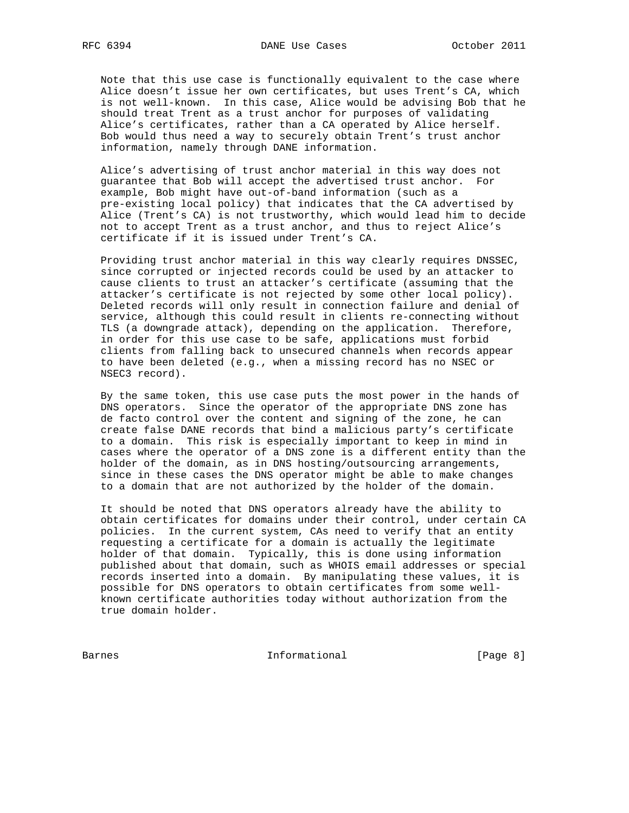Note that this use case is functionally equivalent to the case where Alice doesn't issue her own certificates, but uses Trent's CA, which is not well-known. In this case, Alice would be advising Bob that he should treat Trent as a trust anchor for purposes of validating Alice's certificates, rather than a CA operated by Alice herself. Bob would thus need a way to securely obtain Trent's trust anchor information, namely through DANE information.

 Alice's advertising of trust anchor material in this way does not guarantee that Bob will accept the advertised trust anchor. For example, Bob might have out-of-band information (such as a pre-existing local policy) that indicates that the CA advertised by Alice (Trent's CA) is not trustworthy, which would lead him to decide not to accept Trent as a trust anchor, and thus to reject Alice's certificate if it is issued under Trent's CA.

 Providing trust anchor material in this way clearly requires DNSSEC, since corrupted or injected records could be used by an attacker to cause clients to trust an attacker's certificate (assuming that the attacker's certificate is not rejected by some other local policy). Deleted records will only result in connection failure and denial of service, although this could result in clients re-connecting without TLS (a downgrade attack), depending on the application. Therefore, in order for this use case to be safe, applications must forbid clients from falling back to unsecured channels when records appear to have been deleted (e.g., when a missing record has no NSEC or NSEC3 record).

 By the same token, this use case puts the most power in the hands of DNS operators. Since the operator of the appropriate DNS zone has de facto control over the content and signing of the zone, he can create false DANE records that bind a malicious party's certificate to a domain. This risk is especially important to keep in mind in cases where the operator of a DNS zone is a different entity than the holder of the domain, as in DNS hosting/outsourcing arrangements, since in these cases the DNS operator might be able to make changes to a domain that are not authorized by the holder of the domain.

 It should be noted that DNS operators already have the ability to obtain certificates for domains under their control, under certain CA policies. In the current system, CAs need to verify that an entity requesting a certificate for a domain is actually the legitimate holder of that domain. Typically, this is done using information published about that domain, such as WHOIS email addresses or special records inserted into a domain. By manipulating these values, it is possible for DNS operators to obtain certificates from some well known certificate authorities today without authorization from the true domain holder.

Barnes **Informational Informational** [Page 8]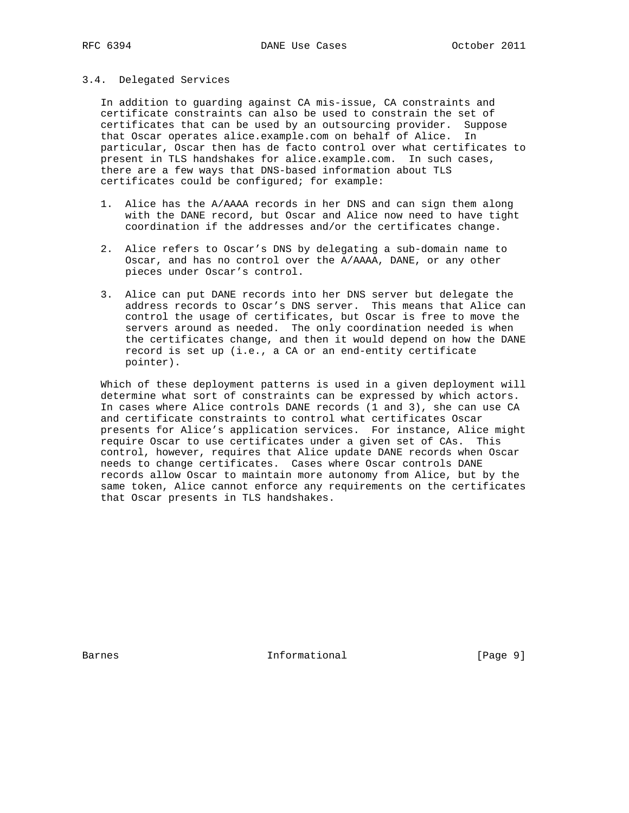### 3.4. Delegated Services

 In addition to guarding against CA mis-issue, CA constraints and certificate constraints can also be used to constrain the set of certificates that can be used by an outsourcing provider. Suppose that Oscar operates alice.example.com on behalf of Alice. In particular, Oscar then has de facto control over what certificates to present in TLS handshakes for alice.example.com. In such cases, there are a few ways that DNS-based information about TLS certificates could be configured; for example:

- 1. Alice has the A/AAAA records in her DNS and can sign them along with the DANE record, but Oscar and Alice now need to have tight coordination if the addresses and/or the certificates change.
- 2. Alice refers to Oscar's DNS by delegating a sub-domain name to Oscar, and has no control over the A/AAAA, DANE, or any other pieces under Oscar's control.
- 3. Alice can put DANE records into her DNS server but delegate the address records to Oscar's DNS server. This means that Alice can control the usage of certificates, but Oscar is free to move the servers around as needed. The only coordination needed is when the certificates change, and then it would depend on how the DANE record is set up (i.e., a CA or an end-entity certificate pointer).

 Which of these deployment patterns is used in a given deployment will determine what sort of constraints can be expressed by which actors. In cases where Alice controls DANE records (1 and 3), she can use CA and certificate constraints to control what certificates Oscar presents for Alice's application services. For instance, Alice might require Oscar to use certificates under a given set of CAs. This control, however, requires that Alice update DANE records when Oscar needs to change certificates. Cases where Oscar controls DANE records allow Oscar to maintain more autonomy from Alice, but by the same token, Alice cannot enforce any requirements on the certificates that Oscar presents in TLS handshakes.

Barnes **Informational Informational** [Page 9]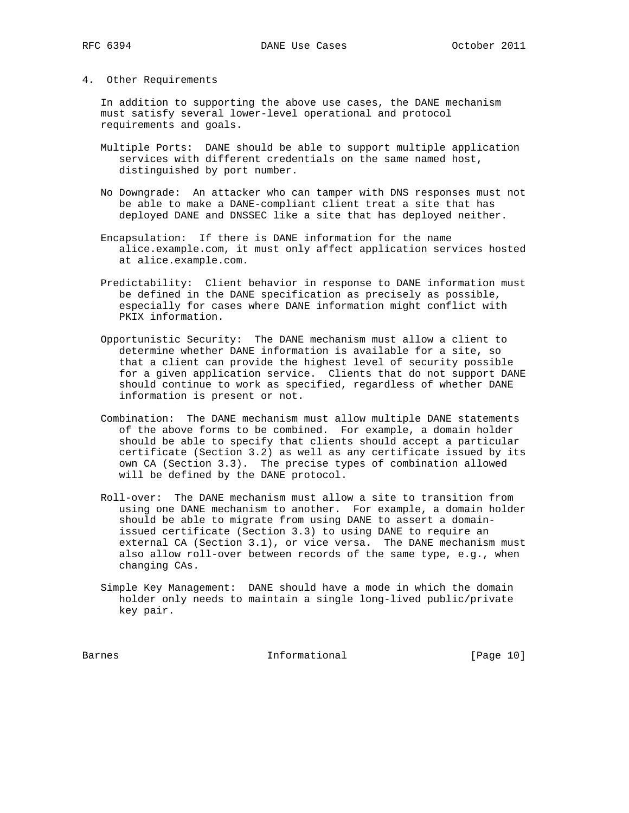#### 4. Other Requirements

 In addition to supporting the above use cases, the DANE mechanism must satisfy several lower-level operational and protocol requirements and goals.

- Multiple Ports: DANE should be able to support multiple application services with different credentials on the same named host, distinguished by port number.
- No Downgrade: An attacker who can tamper with DNS responses must not be able to make a DANE-compliant client treat a site that has deployed DANE and DNSSEC like a site that has deployed neither.
- Encapsulation: If there is DANE information for the name alice.example.com, it must only affect application services hosted at alice.example.com.
- Predictability: Client behavior in response to DANE information must be defined in the DANE specification as precisely as possible, especially for cases where DANE information might conflict with PKIX information.
- Opportunistic Security: The DANE mechanism must allow a client to determine whether DANE information is available for a site, so that a client can provide the highest level of security possible for a given application service. Clients that do not support DANE should continue to work as specified, regardless of whether DANE information is present or not.
- Combination: The DANE mechanism must allow multiple DANE statements of the above forms to be combined. For example, a domain holder should be able to specify that clients should accept a particular certificate (Section 3.2) as well as any certificate issued by its own CA (Section 3.3). The precise types of combination allowed will be defined by the DANE protocol.
- Roll-over: The DANE mechanism must allow a site to transition from using one DANE mechanism to another. For example, a domain holder should be able to migrate from using DANE to assert a domain issued certificate (Section 3.3) to using DANE to require an external CA (Section 3.1), or vice versa. The DANE mechanism must also allow roll-over between records of the same type, e.g., when changing CAs.
- Simple Key Management: DANE should have a mode in which the domain holder only needs to maintain a single long-lived public/private key pair.

Barnes 10 and 11 and 11 and 10 and 10 and 10 and 10 and 10 and 10 and 10 and 10 and 10 and 10 and 10 and 10 and 10 and 10 and 10 and 10 and 10 and 10 and 10 and 10 and 10 and 10 and 10 and 10 and 10 and 10 and 10 and 10 an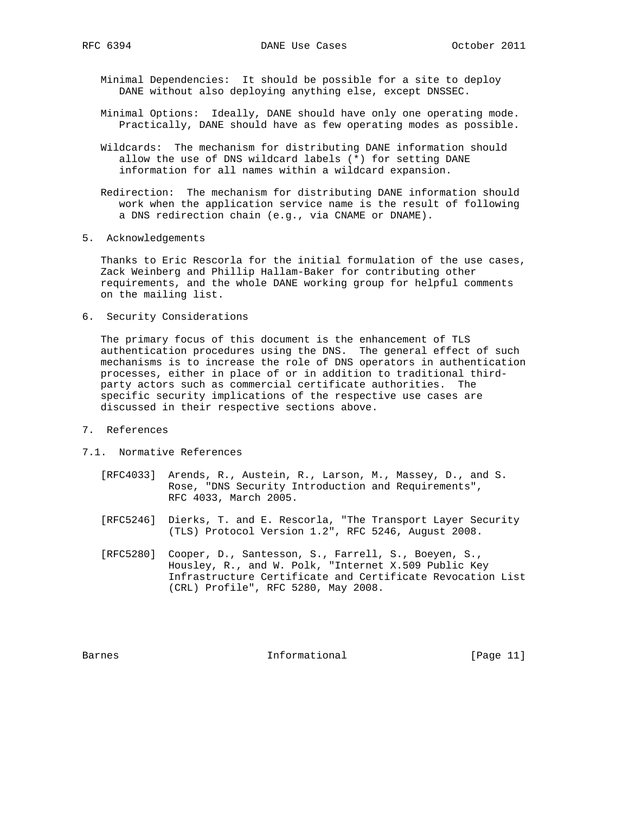Minimal Dependencies: It should be possible for a site to deploy DANE without also deploying anything else, except DNSSEC.

- Minimal Options: Ideally, DANE should have only one operating mode. Practically, DANE should have as few operating modes as possible.
- Wildcards: The mechanism for distributing DANE information should allow the use of DNS wildcard labels (\*) for setting DANE information for all names within a wildcard expansion.
- Redirection: The mechanism for distributing DANE information should work when the application service name is the result of following a DNS redirection chain (e.g., via CNAME or DNAME).
- 5. Acknowledgements

 Thanks to Eric Rescorla for the initial formulation of the use cases, Zack Weinberg and Phillip Hallam-Baker for contributing other requirements, and the whole DANE working group for helpful comments on the mailing list.

6. Security Considerations

 The primary focus of this document is the enhancement of TLS authentication procedures using the DNS. The general effect of such mechanisms is to increase the role of DNS operators in authentication processes, either in place of or in addition to traditional third party actors such as commercial certificate authorities. The specific security implications of the respective use cases are discussed in their respective sections above.

- 7. References
- 7.1. Normative References
	- [RFC4033] Arends, R., Austein, R., Larson, M., Massey, D., and S. Rose, "DNS Security Introduction and Requirements", RFC 4033, March 2005.
	- [RFC5246] Dierks, T. and E. Rescorla, "The Transport Layer Security (TLS) Protocol Version 1.2", RFC 5246, August 2008.
	- [RFC5280] Cooper, D., Santesson, S., Farrell, S., Boeyen, S., Housley, R., and W. Polk, "Internet X.509 Public Key Infrastructure Certificate and Certificate Revocation List (CRL) Profile", RFC 5280, May 2008.

Barnes 11 Communicational Enformational [Page 11]